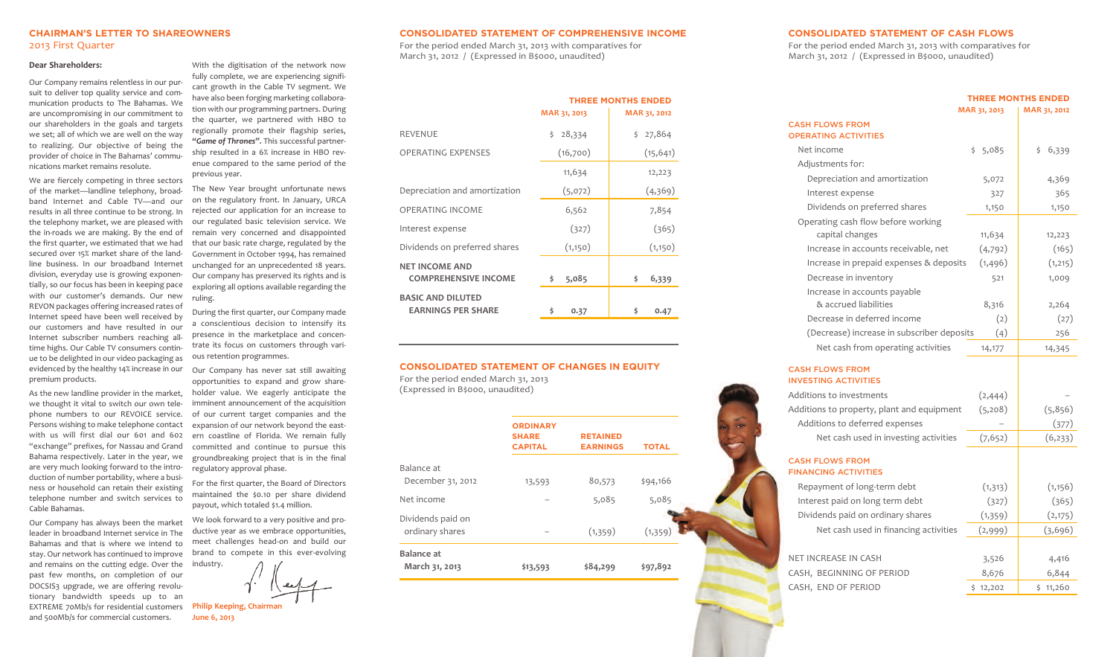## **CHAIRMAN'S LETTER TO SHAREOWNERS** 2013 First Quarter

#### **Dear Shareholders:**

Our Company remains relentless in our pursuit to deliver top quality service and communication products to The Bahamas. We are uncompromising in our commitment to our shareholders in the goals and targets we set; all of which we are well on the way to realizing. Our objective of being the provider of choice in The Bahamas' communications market remains resolute.

We are fiercely competing in three sectors of the market—landline telephony, broadband Internet and Cable TV—and our results in all three continue to be strong. In the telephony market, we are pleased with the in-roads we are making. By the end of the first quarter, we estimated that we had secured over 15% market share of the landline business. In our broadband Internet division, everyday use is growing exponentially, so our focus has been in keeping pace with our customer's demands. Our new REVON packages offering increased rates of Internet speed have been well received by our customers and have resulted in our Internet subscriber numbers reaching alltime highs. Our Cable TV consumers continue to be delighted in our video packaging as evidenced by the healthy 14% increase in our premium products.

As the new landline provider in the market, we thought it vital to switch our own telephone numbers to our REVOICE service. Persons wishing to make telephone contact with us will first dial our 601 and 602 "exchange" prefixes, for Nassau and Grand Bahama respectively. Later in the year, we are very much looking forward to the introduction of number portability, where a business or household can retain their existing telephone number and switch services to Cable Bahamas.

Our Company has always been the market leader in broadband Internet service in The Bahamas and that is where we intend to stay. Our network has continued to improve and remains on the cutting edge. Over the past few months, on completion of our DOCSIS3 upgrade, we are offering revolutionary bandwidth speeds up to an EXTREME 70Mb/s for residential customers and 500Mb/s for commercial customers.

With the digitisation of the network now fully complete, we are experiencing significant growth in the Cable TV segment. We have also been forging marketing collaboration with our programming partners. During the quarter, we partnered with HBO to regionally promote their flagship series, *"Game of Thrones".* This successful partnership resulted in a 6% increase in HBO revenue compared to the same period of the previous year.

The New Year brought unfortunate news on the regulatory front. In January, URCA rejected our application for an increase to our regulated basic television service. We remain very concerned and disappointed that our basic rate charge, regulated by the Government in October 1994, has remained unchanged for an unprecedented 18 years. Our company has preserved its rights and is exploring all options available regarding the ruling.

During the first quarter, our Company made a conscientious decision to intensify its presence in the marketplace and concentrate its focus on customers through various retention programmes.

Our Company has never sat still awaiting opportunities to expand and grow shareholder value. We eagerly anticipate the imminent announcement of the acquisition of our current target companies and the expansion of our network beyond the eastern coastline of Florida. We remain fully committed and continue to pursue this groundbreaking project that is in the final regulatory approval phase.

For the first quarter, the Board of Directors maintained the \$0.10 per share dividend payout, which totaled \$1.4 million.

We look forward to a very positive and productive year as we embrace opportunities, meet challenges head-on and build our brand to compete in this ever-evolving

industry.

**Philip Keeping, Chairman June 6, 2013**

## **CONSOLIDATED STATEMENT OF COMPREHENSIVE INCOME**

For the period ended March 31, 2013 with comparatives for March 31, 2012 / (Expressed in B\$000, unaudited)

|                                                       | MAR 31, 2013 | <b>THREE MONTHS ENDED</b><br>MAR 31, 2012 |
|-------------------------------------------------------|--------------|-------------------------------------------|
| <b>REVENUE</b>                                        | Ś.<br>28,334 | \$27,864                                  |
| <b>OPERATING EXPENSES</b>                             | (16,700)     | (15, 641)                                 |
|                                                       | 11,634       | 12,223                                    |
| Depreciation and amortization                         | (5,072)      | (4,369)                                   |
| <b>OPERATING INCOME</b>                               | 6,562        | 7,854                                     |
| Interest expense                                      | (327)        | (365)                                     |
| Dividends on preferred shares                         | (1,150)      | (1,150)                                   |
| <b>NET INCOME AND</b><br><b>COMPREHENSIVE INCOME</b>  | 5,085<br>\$  | \$<br>6,339                               |
| <b>BASIC AND DILUTED</b><br><b>EARNINGS PER SHARE</b> | \$<br>0.37   | \$<br>0.47                                |

### **CONSOLIDATED STATEMENT OF CHANGES IN EQUITY**

For the period ended March 31, 2013 (Expressed in B\$000, unaudited)

|                                      | <b>ORDINARY</b><br><b>SHARE</b><br><b>CAPITAL</b> | <b>RETAINED</b><br><b>EARNINGS</b> | <b>TOTAL</b> |
|--------------------------------------|---------------------------------------------------|------------------------------------|--------------|
| Balance at<br>December 31, 2012      | 13,593                                            | 80,573                             | \$94,166     |
| Net income                           |                                                   | 5,085                              | 5,085        |
| Dividends paid on<br>ordinary shares |                                                   | (1, 359)                           | (1, 359)     |
| <b>Balance</b> at<br>March 31, 2013  | \$13,593                                          | \$84,299                           | \$97,892     |

#### **CONSOLIDATED STATEMENT OF CASH FLOWS**

For the period ended March 31, 2013 with comparatives for March 31, 2012 / (Expressed in B\$000, unaudited)

|                                                       | <b>THREE MONTHS ENDED</b> |                |
|-------------------------------------------------------|---------------------------|----------------|
|                                                       | MAR 31, 2013              | MAR 31, 2012   |
| <b>CASH FLOWS FROM</b>                                |                           |                |
| <b>OPERATING ACTIVITIES</b>                           |                           |                |
| Net income                                            | \$5,085                   | \$.<br>6,339   |
| Adjustments for:                                      |                           |                |
| Depreciation and amortization                         | 5,072                     | 4,369          |
| Interest expense                                      | 327                       | 365            |
| Dividends on preferred shares                         | 1,150                     | 1,150          |
| Operating cash flow before working                    |                           |                |
| capital changes                                       | 11,634                    | 12,223         |
| Increase in accounts receivable, net                  | (4,792)                   | (165)          |
| Increase in prepaid expenses & deposits               | (1, 496)                  | (1, 215)       |
| Decrease in inventory                                 | 521                       | 1,009          |
| Increase in accounts payable                          |                           |                |
| & accrued liabilities                                 | 8,316                     | 2,264          |
| Decrease in deferred income                           | (2)                       | (27)           |
| (Decrease) increase in subscriber deposits            | (4)                       | 256            |
| Net cash from operating activities                    | 14,177                    | 14,345         |
| <b>CASH FLOWS FROM</b><br><b>INVESTING ACTIVITIES</b> |                           |                |
| Additions to investments                              | (2, 444)                  |                |
| Additions to property, plant and equipment            | (5,208)                   | (5,856)        |
| Additions to deferred expenses                        |                           | (377)          |
| Net cash used in investing activities                 | (7,652)                   | (6, 233)       |
| <b>CASH FLOWS FROM</b><br><b>FINANCING ACTIVITIES</b> |                           |                |
| Repayment of long-term debt                           | (1, 313)                  | (1, 156)       |
| Interest paid on long term debt                       | (327)                     | (365)          |
| Dividends paid on ordinary shares                     | (1, 359)                  | (2,175)        |
| Net cash used in financing activities                 | (2,999)                   | (3,696)        |
| NET INCREASE IN CASH                                  |                           |                |
| CASH, BEGINNING OF PERIOD                             | 3,526<br>8,676            | 4,416<br>6,844 |
|                                                       |                           |                |
| CASH, END OF PERIOD                                   | \$12,202                  | \$11,260       |